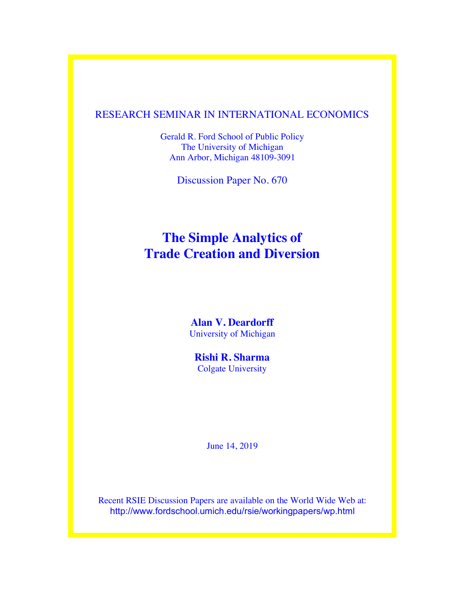### RESEARCH SEMINAR IN INTERNATIONAL ECONOMICS

Gerald R. Ford School of Public Policy The University of Michigan Ann Arbor, Michigan 48109-3091

Discussion Paper No. 670

## **The Simple Analytics of Trade Creation and Diversion**

### **Alan V. Deardorff** University of Michigan

**Rishi R. Sharma** Colgate University

June 14, 2019

Recent RSIE Discussion Papers are available on the World Wide Web at: http://www.fordschool.umich.edu/rsie/workingpapers/wp.html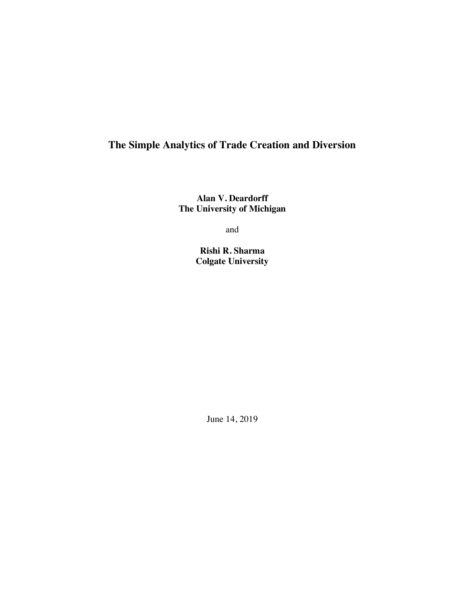### **The Simple Analytics of Trade Creation and Diversion**

**Alan V. Deardorff The University of Michigan**

and

**Rishi R. Sharma Colgate University** 

June 14, 2019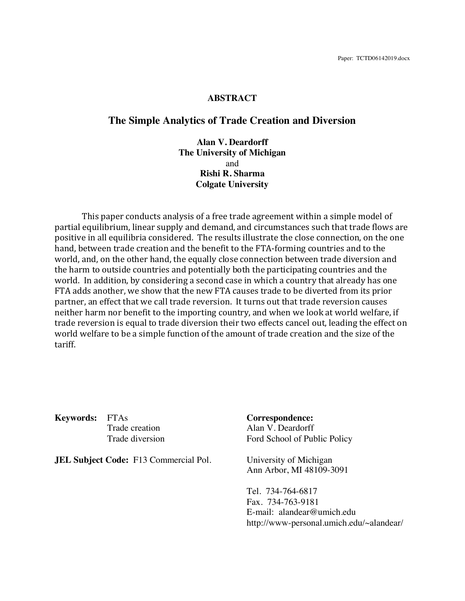#### **ABSTRACT**

#### **The Simple Analytics of Trade Creation and Diversion**

**Alan V. Deardorff The University of Michigan** and **Rishi R. Sharma Colgate University** 

This paper conducts analysis of a free trade agreement within a simple model of partial equilibrium, linear supply and demand, and circumstances such that trade flows are positive in all equilibria considered. The results illustrate the close connection, on the one hand, between trade creation and the benefit to the FTA-forming countries and to the world, and, on the other hand, the equally close connection between trade diversion and the harm to outside countries and potentially both the participating countries and the world. In addition, by considering a second case in which a country that already has one FTA adds another, we show that the new FTA causes trade to be diverted from its prior partner, an effect that we call trade reversion. It turns out that trade reversion causes neither harm nor benefit to the importing country, and when we look at world welfare, if trade reversion is equal to trade diversion their two effects cancel out, leading the effect on world welfare to be a simple function of the amount of trade creation and the size of the tariff.

**Keywords:** FTAs **Correspondence:**

**JEL Subject Code:** F13 Commercial Pol. University of Michigan

Trade creation Alan V. Deardorff Trade diversion Ford School of Public Policy

Ann Arbor, MI 48109-3091

Tel. 734-764-6817 Fax. 734-763-9181 E-mail: alandear@umich.edu http://www-personal.umich.edu/~alandear/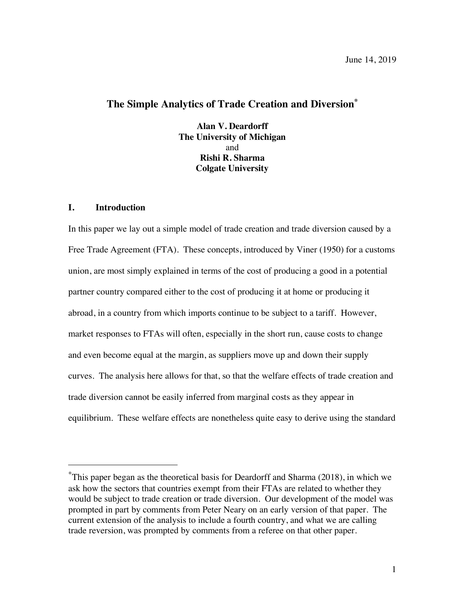### **The Simple Analytics of Trade Creation and Diversion\***

**Alan V. Deardorff The University of Michigan** and **Rishi R. Sharma Colgate University** 

#### **I. Introduction**

 $\overline{a}$ 

In this paper we lay out a simple model of trade creation and trade diversion caused by a Free Trade Agreement (FTA). These concepts, introduced by Viner (1950) for a customs union, are most simply explained in terms of the cost of producing a good in a potential partner country compared either to the cost of producing it at home or producing it abroad, in a country from which imports continue to be subject to a tariff. However, market responses to FTAs will often, especially in the short run, cause costs to change and even become equal at the margin, as suppliers move up and down their supply curves. The analysis here allows for that, so that the welfare effects of trade creation and trade diversion cannot be easily inferred from marginal costs as they appear in equilibrium. These welfare effects are nonetheless quite easy to derive using the standard

<sup>\*</sup> This paper began as the theoretical basis for Deardorff and Sharma (2018), in which we ask how the sectors that countries exempt from their FTAs are related to whether they would be subject to trade creation or trade diversion. Our development of the model was prompted in part by comments from Peter Neary on an early version of that paper. The current extension of the analysis to include a fourth country, and what we are calling trade reversion, was prompted by comments from a referee on that other paper.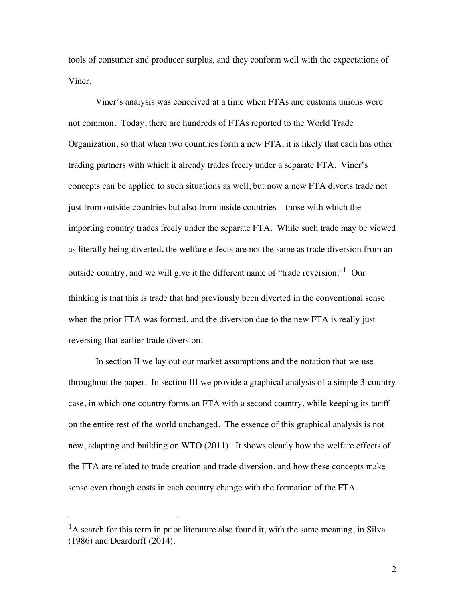tools of consumer and producer surplus, and they conform well with the expectations of Viner.

Viner's analysis was conceived at a time when FTAs and customs unions were not common. Today, there are hundreds of FTAs reported to the World Trade Organization, so that when two countries form a new FTA, it is likely that each has other trading partners with which it already trades freely under a separate FTA. Viner's concepts can be applied to such situations as well, but now a new FTA diverts trade not just from outside countries but also from inside countries – those with which the importing country trades freely under the separate FTA. While such trade may be viewed as literally being diverted, the welfare effects are not the same as trade diversion from an outside country, and we will give it the different name of "trade reversion."  $1$  Our thinking is that this is trade that had previously been diverted in the conventional sense when the prior FTA was formed, and the diversion due to the new FTA is really just reversing that earlier trade diversion.

In section II we lay out our market assumptions and the notation that we use throughout the paper. In section III we provide a graphical analysis of a simple 3-country case, in which one country forms an FTA with a second country, while keeping its tariff on the entire rest of the world unchanged. The essence of this graphical analysis is not new, adapting and building on WTO (2011). It shows clearly how the welfare effects of the FTA are related to trade creation and trade diversion, and how these concepts make sense even though costs in each country change with the formation of the FTA.

 $\overline{a}$ 

 $<sup>1</sup>A$  search for this term in prior literature also found it, with the same meaning, in Silva</sup> (1986) and Deardorff (2014).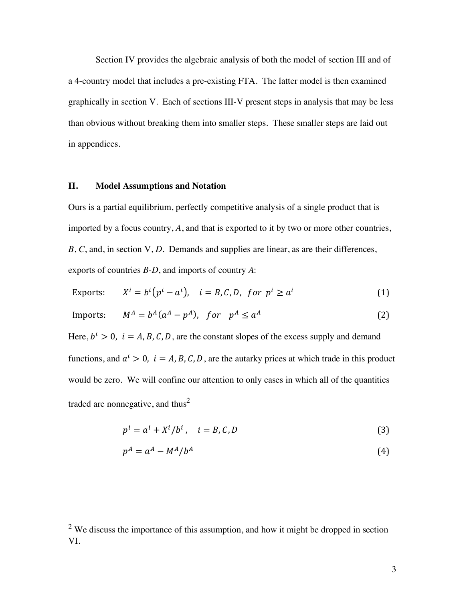Section IV provides the algebraic analysis of both the model of section III and of a 4-country model that includes a pre-existing FTA. The latter model is then examined graphically in section V. Each of sections III-V present steps in analysis that may be less than obvious without breaking them into smaller steps. These smaller steps are laid out in appendices.

#### **II. Model Assumptions and Notation**

 $\overline{a}$ 

Ours is a partial equilibrium, perfectly competitive analysis of a single product that is imported by a focus country, *A*, and that is exported to it by two or more other countries, *B*, *C*, and, in section V, *D*. Demands and supplies are linear, as are their differences, exports of countries *B-D*, and imports of country *A*:

Express: 
$$
X^i = b^i (p^i - a^i)
$$
,  $i = B, C, D$ , for  $p^i \ge a^i$  (1)

$$
Imports: \t MA = bA(aA - pA), \t for pA \le aA
$$
 (2)

Here,  $b^i > 0$ ,  $i = A, B, C, D$ , are the constant slopes of the excess supply and demand functions, and  $a^i > 0$ ,  $i = A, B, C, D$ , are the autarky prices at which trade in this product would be zero. We will confine our attention to only cases in which all of the quantities traded are nonnegative, and thus<sup>2</sup>

$$
p^i = a^i + X^i / b^i, \quad i = B, C, D \tag{3}
$$

$$
p^A = a^A - M^A/b^A \tag{4}
$$

 $2$  We discuss the importance of this assumption, and how it might be dropped in section VI.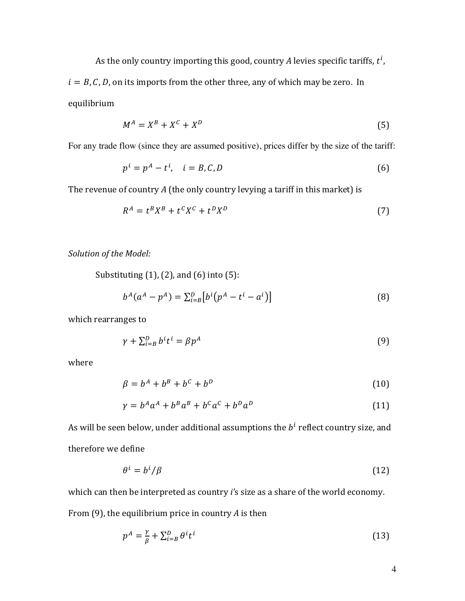As the only country importing this good, country  $A$  levies specific tariffs,  $t^i$ ,

 $i = B, C, D$ , on its imports from the other three, any of which may be zero. In equilibrium 

$$
M^A = X^B + X^C + X^D \tag{5}
$$

For any trade flow (since they are assumed positive), prices differ by the size of the tariff:

$$
p^i = p^A - t^i, \quad i = B, C, D \tag{6}
$$

The revenue of country *A* (the only country levying a tariff in this market) is

$$
R^A = t^B X^B + t^C X^C + t^D X^D \tag{7}
$$

Solution of the Model:

Substituting  $(1)$ ,  $(2)$ , and  $(6)$  into  $(5)$ :

$$
b^{A}(a^{A}-p^{A}) = \sum_{i=B}^{D} [b^{i}(p^{A}-t^{i}-a^{i})]
$$
\n(8)

which rearranges to

$$
\gamma + \sum_{i=B}^{D} b^i t^i = \beta p^A \tag{9}
$$

where

$$
\beta = b^A + b^B + b^C + b^D \tag{10}
$$

$$
\gamma = b^A a^A + b^B a^B + b^C a^C + b^D a^D \tag{11}
$$

As will be seen below, under additional assumptions the  $b<sup>i</sup>$  reflect country size, and therefore we define

$$
\theta^i = b^i / \beta \tag{12}
$$

which can then be interpreted as country *i's* size as a share of the world economy. From (9), the equilibrium price in country *A* is then

$$
p^A = \frac{\gamma}{\beta} + \sum_{i=B}^D \theta^i t^i \tag{13}
$$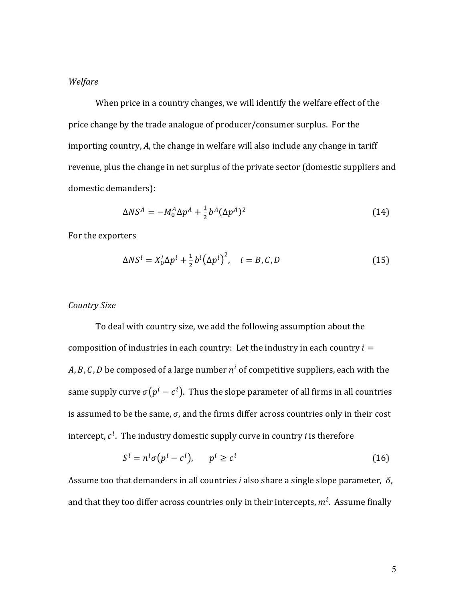#### *Welfare*

When price in a country changes, we will identify the welfare effect of the price change by the trade analogue of producer/consumer surplus. For the importing country, A, the change in welfare will also include any change in tariff revenue, plus the change in net surplus of the private sector (domestic suppliers and domestic demanders):

$$
\Delta NS^A = -M_0^A \Delta p^A + \frac{1}{2} b^A (\Delta p^A)^2 \tag{14}
$$

For the exporters

$$
\Delta NS^i = X_0^i \Delta p^i + \frac{1}{2} b^i (\Delta p^i)^2, \quad i = B, C, D \tag{15}
$$

#### *Country Size*

To deal with country size, we add the following assumption about the composition of industries in each country: Let the industry in each country  $i =$ A, B, C, D be composed of a large number  $n^i$  of competitive suppliers, each with the same supply curve  $\sigma(p^i - c^i)$ . Thus the slope parameter of all firms in all countries is assumed to be the same,  $\sigma$ , and the firms differ across countries only in their cost intercept,  $c^i.$  The industry domestic supply curve in country  $i$  is therefore

$$
S^i = n^i \sigma (p^i - c^i), \qquad p^i \ge c^i \tag{16}
$$

Assume too that demanders in all countries *i* also share a single slope parameter,  $\delta$ , and that they too differ across countries only in their intercepts,  $m^i$ . Assume finally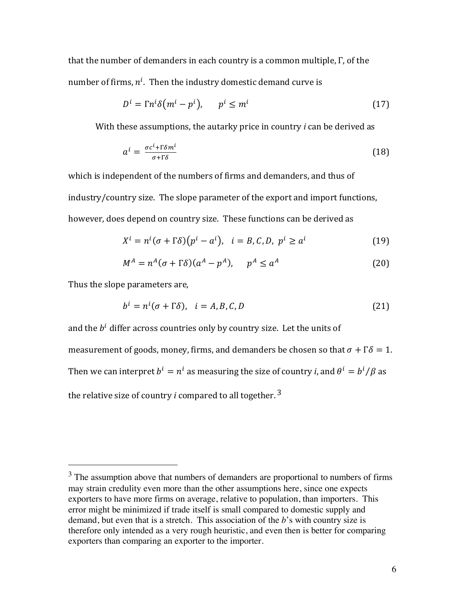that the number of demanders in each country is a common multiple,  $\Gamma$ , of the number of firms,  $n^i$ . Then the industry domestic demand curve is

$$
D^i = \Gamma n^i \delta \left( m^i - p^i \right), \qquad p^i \le m^i \tag{17}
$$

With these assumptions, the autarky price in country *i* can be derived as

$$
a^i = \frac{\sigma c^i + \Gamma \delta m^i}{\sigma + \Gamma \delta} \tag{18}
$$

which is independent of the numbers of firms and demanders, and thus of industry/country size. The slope parameter of the export and import functions, however, does depend on country size. These functions can be derived as

$$
X^{i} = n^{i}(\sigma + \Gamma \delta)(p^{i} - a^{i}), \quad i = B, C, D, \ p^{i} \ge a^{i}
$$
 (19)

$$
M^A = n^A(\sigma + \Gamma \delta)(a^A - p^A), \quad p^A \le a^A \tag{20}
$$

Thus the slope parameters are,

 $\overline{a}$ 

$$
b^{i} = n^{i}(\sigma + \Gamma \delta), \quad i = A, B, C, D \tag{21}
$$

and the  $b^i$  differ across countries only by country size. Let the units of measurement of goods, money, firms, and demanders be chosen so that  $\sigma + \Gamma \delta = 1$ . Then we can interpret  $b^i = n^i$  as measuring the size of country *i*, and  $\theta^i = b^i/\beta$  as the relative size of country *i* compared to all together.<sup>3</sup>

 $3$  The assumption above that numbers of demanders are proportional to numbers of firms may strain credulity even more than the other assumptions here, since one expects exporters to have more firms on average, relative to population, than importers. This error might be minimized if trade itself is small compared to domestic supply and demand, but even that is a stretch. This association of the *b*'s with country size is therefore only intended as a very rough heuristic, and even then is better for comparing exporters than comparing an exporter to the importer.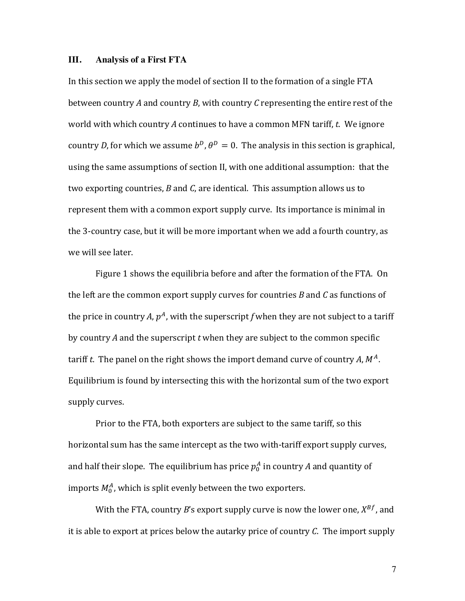#### **III. Analysis of a First FTA**

In this section we apply the model of section II to the formation of a single FTA between country *A* and country *B*, with country *C* representing the entire rest of the world with which country A continues to have a common MFN tariff, *t*. We ignore country *D*, for which we assume  $b^D$ ,  $\theta^D = 0$ . The analysis in this section is graphical, using the same assumptions of section II, with one additional assumption: that the two exporting countries,  $B$  and  $C$ , are identical. This assumption allows us to represent them with a common export supply curve. Its importance is minimal in the 3-country case, but it will be more important when we add a fourth country, as we will see later.

Figure 1 shows the equilibria before and after the formation of the FTA. On the left are the common export supply curves for countries  $B$  and  $C$  as functions of the price in country A,  $p^A$ , with the superscript f when they are not subject to a tariff by country A and the superscript t when they are subject to the common specific tariff t. The panel on the right shows the import demand curve of country A,  $M^A$ . Equilibrium is found by intersecting this with the horizontal sum of the two export supply curves.

Prior to the FTA, both exporters are subject to the same tariff, so this horizontal sum has the same intercept as the two with-tariff export supply curves, and half their slope. The equilibrium has price  $p_0^A$  in country  $A$  and quantity of imports  $M^A_0$ , which is split evenly between the two exporters.

With the FTA, country *B*'s export supply curve is now the lower one,  $X^{Bf}$ , and it is able to export at prices below the autarky price of country  $C$ . The import supply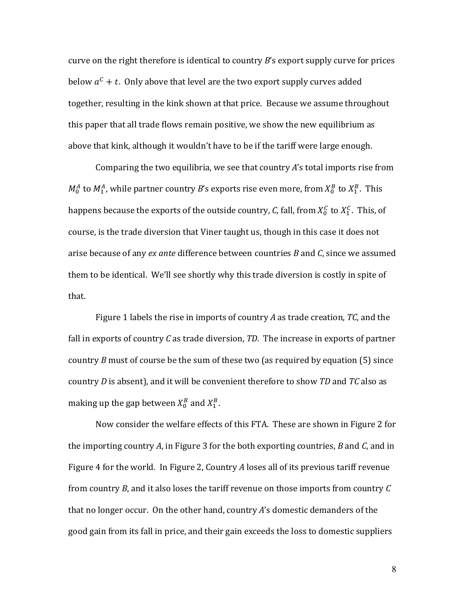curve on the right therefore is identical to country *B*'s export supply curve for prices below  $a^C + t$ . Only above that level are the two export supply curves added together, resulting in the kink shown at that price. Because we assume throughout this paper that all trade flows remain positive, we show the new equilibrium as above that kink, although it wouldn't have to be if the tariff were large enough.

Comparing the two equilibria, we see that country A's total imports rise from  $M_0^A$  to  $M_1^A$ , while partner country  $B$ 's exports rise even more, from  $X_0^B$  to  $X_1^B$ . This happens because the exports of the outside country, *C*, fall, from  $X^{\mathcal{C}}_0$  to  $X^{\mathcal{C}}_1$  . This, of course, is the trade diversion that Viner taught us, though in this case it does not arise because of any *ex ante* difference between countries *B* and *C*, since we assumed them to be identical. We'll see shortly why this trade diversion is costly in spite of that.

Figure 1 labels the rise in imports of country A as trade creation, *TC*, and the fall in exports of country *C* as trade diversion, *TD*. The increase in exports of partner country  $B$  must of course be the sum of these two (as required by equation  $(5)$  since country *D* is absent), and it will be convenient therefore to show *TD* and *TC* also as making up the gap between  $X^B_0$  and  $X^B_1$  .

Now consider the welfare effects of this FTA. These are shown in Figure 2 for the importing country A, in Figure 3 for the both exporting countries,  $B$  and  $C$ , and in Figure 4 for the world. In Figure 2, Country *A* loses all of its previous tariff revenue from country  $B$ , and it also loses the tariff revenue on those imports from country  $C$ that no longer occur. On the other hand, country A's domestic demanders of the good gain from its fall in price, and their gain exceeds the loss to domestic suppliers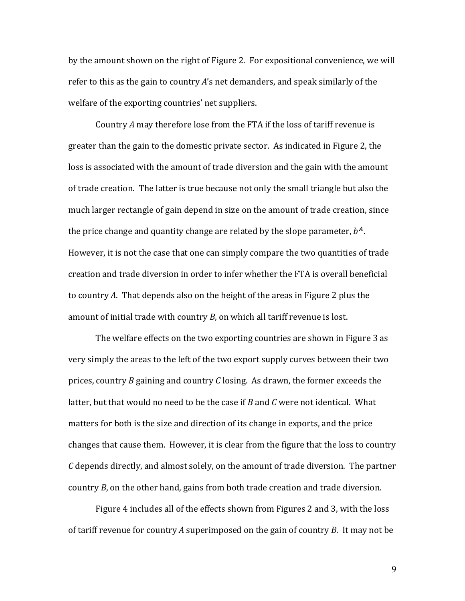by the amount shown on the right of Figure 2. For expositional convenience, we will refer to this as the gain to country  $A$ 's net demanders, and speak similarly of the welfare of the exporting countries' net suppliers.

Country A may therefore lose from the FTA if the loss of tariff revenue is greater than the gain to the domestic private sector. As indicated in Figure 2, the loss is associated with the amount of trade diversion and the gain with the amount of trade creation. The latter is true because not only the small triangle but also the much larger rectangle of gain depend in size on the amount of trade creation, since the price change and quantity change are related by the slope parameter,  $b^A$ . However, it is not the case that one can simply compare the two quantities of trade creation and trade diversion in order to infer whether the FTA is overall beneficial to country A. That depends also on the height of the areas in Figure 2 plus the amount of initial trade with country  $B$ , on which all tariff revenue is lost.

The welfare effects on the two exporting countries are shown in Figure 3 as very simply the areas to the left of the two export supply curves between their two prices, country  $B$  gaining and country  $C$  losing. As drawn, the former exceeds the latter, but that would no need to be the case if  $B$  and  $C$  were not identical. What matters for both is the size and direction of its change in exports, and the price changes that cause them. However, it is clear from the figure that the loss to country *C* depends directly, and almost solely, on the amount of trade diversion. The partner country *B*, on the other hand, gains from both trade creation and trade diversion.

Figure 4 includes all of the effects shown from Figures 2 and 3, with the loss of tariff revenue for country A superimposed on the gain of country *B*. It may not be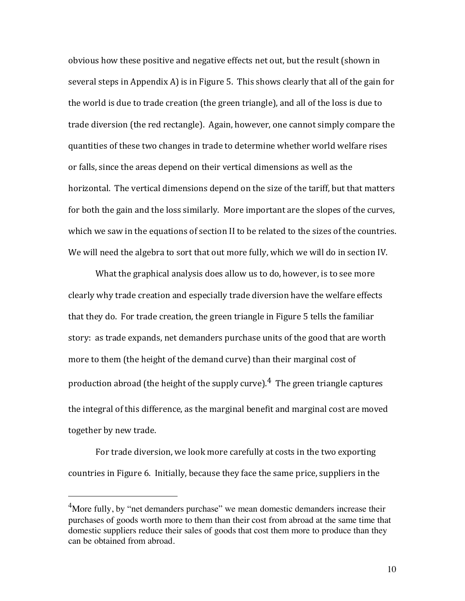obvious how these positive and negative effects net out, but the result (shown in several steps in Appendix A) is in Figure 5. This shows clearly that all of the gain for the world is due to trade creation (the green triangle), and all of the loss is due to trade diversion (the red rectangle). Again, however, one cannot simply compare the quantities of these two changes in trade to determine whether world welfare rises or falls, since the areas depend on their vertical dimensions as well as the horizontal. The vertical dimensions depend on the size of the tariff, but that matters for both the gain and the loss similarly. More important are the slopes of the curves, which we saw in the equations of section II to be related to the sizes of the countries. We will need the algebra to sort that out more fully, which we will do in section IV.

What the graphical analysis does allow us to do, however, is to see more clearly why trade creation and especially trade diversion have the welfare effects that they do. For trade creation, the green triangle in Figure 5 tells the familiar story: as trade expands, net demanders purchase units of the good that are worth more to them (the height of the demand curve) than their marginal cost of production abroad (the height of the supply curve).<sup>4</sup> The green triangle captures the integral of this difference, as the marginal benefit and marginal cost are moved together by new trade.

For trade diversion, we look more carefully at costs in the two exporting countries in Figure 6. Initially, because they face the same price, suppliers in the

 $\overline{a}$ 

<sup>&</sup>lt;sup>4</sup>More fully, by "net demanders purchase" we mean domestic demanders increase their purchases of goods worth more to them than their cost from abroad at the same time that domestic suppliers reduce their sales of goods that cost them more to produce than they can be obtained from abroad.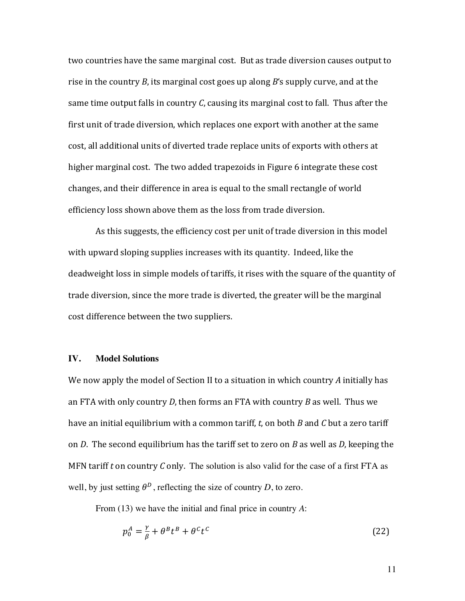two countries have the same marginal cost. But as trade diversion causes output to rise in the country *B*, its marginal cost goes up along *B*'s supply curve, and at the same time output falls in country  $C$ , causing its marginal cost to fall. Thus after the first unit of trade diversion, which replaces one export with another at the same cost, all additional units of diverted trade replace units of exports with others at higher marginal cost. The two added trapezoids in Figure 6 integrate these cost changes, and their difference in area is equal to the small rectangle of world efficiency loss shown above them as the loss from trade diversion.

As this suggests, the efficiency cost per unit of trade diversion in this model with upward sloping supplies increases with its quantity. Indeed, like the deadweight loss in simple models of tariffs, it rises with the square of the quantity of trade diversion, since the more trade is diverted, the greater will be the marginal cost difference between the two suppliers.

#### **IV. Model Solutions**

We now apply the model of Section II to a situation in which country A initially has an FTA with only country *D*, then forms an FTA with country *B* as well. Thus we have an initial equilibrium with a common tariff, *t*, on both *B* and *C* but a zero tariff on *D*. The second equilibrium has the tariff set to zero on *B* as well as *D*, keeping the MFN tariff  $t$  on country  $C$  only. The solution is also valid for the case of a first FTA as well, by just setting  $\theta^D$ , reflecting the size of country *D*, to zero.

From (13) we have the initial and final price in country *A*:

$$
p_0^A = \frac{\gamma}{\beta} + \theta^B t^B + \theta^C t^C \tag{22}
$$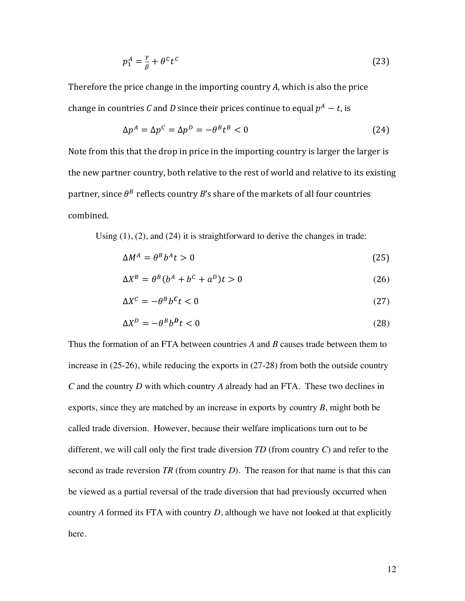$$
p_1^A = \frac{\gamma}{\beta} + \theta^C t^C \tag{23}
$$

Therefore the price change in the importing country A, which is also the price change in countries *C* and *D* since their prices continue to equal  $p^A - t$ , is

$$
\Delta p^A = \Delta p^C = \Delta p^D = -\theta^B t^B < 0\tag{24}
$$

Note from this that the drop in price in the importing country is larger the larger is the new partner country, both relative to the rest of world and relative to its existing partner, since  $\theta^B$  reflects country *B*'s share of the markets of all four countries combined.

Using (1), (2), and (24) it is straightforward to derive the changes in trade:

$$
\Delta M^A = \theta^B b^A t > 0 \tag{25}
$$

$$
\Delta X^B = \theta^B (b^A + b^C + a^D) t > 0 \tag{26}
$$

$$
\Delta X^c = -\theta^B b^c t < 0 \tag{27}
$$

$$
\Delta X^D = -\theta^B b^D t < 0 \tag{28}
$$

Thus the formation of an FTA between countries *A* and *B* causes trade between them to increase in (25-26), while reducing the exports in (27-28) from both the outside country *C* and the country *D* with which country *A* already had an FTA. These two declines in exports, since they are matched by an increase in exports by country *B*, might both be called trade diversion. However, because their welfare implications turn out to be different, we will call only the first trade diversion *TD* (from country *C*) and refer to the second as trade reversion *TR* (from country *D*). The reason for that name is that this can be viewed as a partial reversal of the trade diversion that had previously occurred when country *A* formed its FTA with country *D*, although we have not looked at that explicitly here.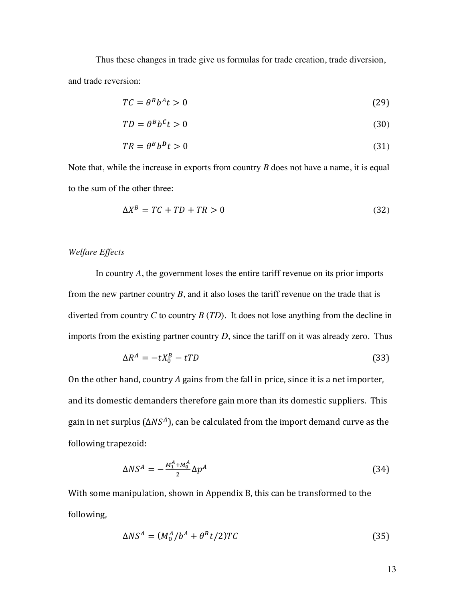Thus these changes in trade give us formulas for trade creation, trade diversion, and trade reversion:

$$
TC = \theta^B b^A t > 0 \tag{29}
$$

$$
TD = \theta^B b^C t > 0 \tag{30}
$$

$$
TR = \theta^B b^D t > 0 \tag{31}
$$

Note that, while the increase in exports from country *B* does not have a name, it is equal to the sum of the other three:

$$
\Delta X^B = TC + TD + TR > 0\tag{32}
$$

#### *Welfare Effects*

In country *A*, the government loses the entire tariff revenue on its prior imports from the new partner country *B*, and it also loses the tariff revenue on the trade that is diverted from country *C* to country *B* (*TD*). It does not lose anything from the decline in imports from the existing partner country *D*, since the tariff on it was already zero. Thus

$$
\Delta R^A = -tX_0^B - tTD \tag{33}
$$

On the other hand, country *A* gains from the fall in price, since it is a net importer, and its domestic demanders therefore gain more than its domestic suppliers. This gain in net surplus ( $\Delta NS^A$ ), can be calculated from the import demand curve as the following trapezoid:

$$
\Delta NS^A = -\frac{M_1^A + M_0^A}{2} \Delta p^A \tag{34}
$$

With some manipulation, shown in Appendix B, this can be transformed to the following,

$$
\Delta NS^A = (M_0^A / b^A + \theta^B t / 2) T C \tag{35}
$$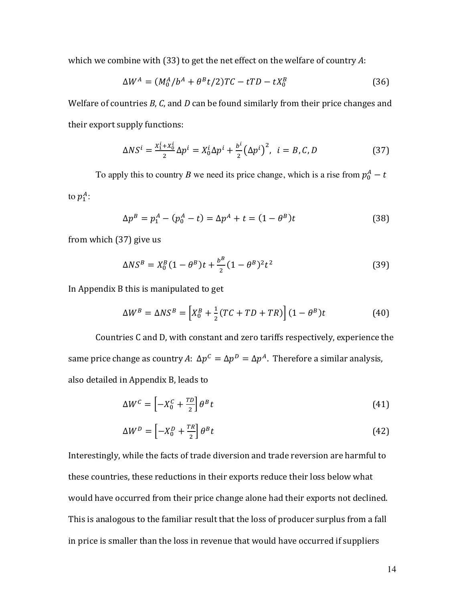which we combine with  $(33)$  to get the net effect on the welfare of country A:

$$
\Delta W^A = (M_0^A / b^A + \theta^B t / 2) T C - t T D - t X_0^B \tag{36}
$$

Welfare of countries *B*, *C*, and *D* can be found similarly from their price changes and their export supply functions:

$$
\Delta NS^{i} = \frac{x_1^{i} + x_0^{i}}{2} \Delta p^{i} = X_0^{i} \Delta p^{i} + \frac{b^{i}}{2} (\Delta p^{i})^{2}, \quad i = B, C, D
$$
 (37)

To apply this to country *B* we need its price change, which is a rise from  $p_0^A - t$ to  $p_1^A$ :

$$
\Delta p^B = p_1^A - (p_0^A - t) = \Delta p^A + t = (1 - \theta^B)t
$$
\n(38)

from which  $(37)$  give us

$$
\Delta NS^B = X_0^B (1 - \theta^B) t + \frac{b^B}{2} (1 - \theta^B)^2 t^2
$$
 (39)

In Appendix B this is manipulated to get

$$
\Delta W^B = \Delta NS^B = \left[ X_0^B + \frac{1}{2} (TC + TD + TR) \right] (1 - \theta^B) t \tag{40}
$$

Countries C and D, with constant and zero tariffs respectively, experience the same price change as country *A*:  $\Delta p^C = \Delta p^D = \Delta p^A$ . Therefore a similar analysis, also detailed in Appendix B, leads to

$$
\Delta W^C = \left[ -X_0^C + \frac{TD}{2} \right] \theta^B t \tag{41}
$$

$$
\Delta W^D = \left[ -X_0^D + \frac{TR}{2} \right] \theta^B t \tag{42}
$$

Interestingly, while the facts of trade diversion and trade reversion are harmful to these countries, these reductions in their exports reduce their loss below what would have occurred from their price change alone had their exports not declined. This is analogous to the familiar result that the loss of producer surplus from a fall in price is smaller than the loss in revenue that would have occurred if suppliers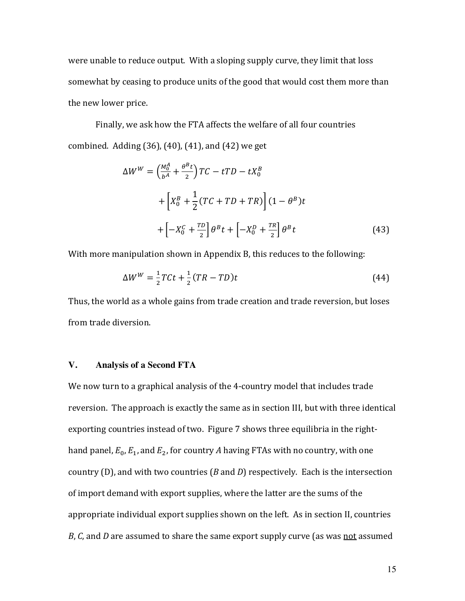were unable to reduce output. With a sloping supply curve, they limit that loss somewhat by ceasing to produce units of the good that would cost them more than the new lower price.

Finally, we ask how the FTA affects the welfare of all four countries combined. Adding  $(36)$ ,  $(40)$ ,  $(41)$ , and  $(42)$  we get

$$
\Delta W^{W} = \left(\frac{M_{0}^{A}}{b^{A}} + \frac{\theta^{B}t}{2}\right)TC - tTD - tX_{0}^{B}
$$
  
+ 
$$
\left[X_{0}^{B} + \frac{1}{2}(TC + TD + TR)\right](1 - \theta^{B})t
$$
  
+ 
$$
\left[-X_{0}^{C} + \frac{TD}{2}\right]\theta^{B}t + \left[-X_{0}^{D} + \frac{TR}{2}\right]\theta^{B}t
$$
 (43)

With more manipulation shown in Appendix B, this reduces to the following:

$$
\Delta W^{W} = \frac{1}{2} T C t + \frac{1}{2} (T R - T D) t
$$
\n(44)

Thus, the world as a whole gains from trade creation and trade reversion, but loses from trade diversion.

#### **V. Analysis of a Second FTA**

We now turn to a graphical analysis of the 4-country model that includes trade reversion. The approach is exactly the same as in section III, but with three identical exporting countries instead of two. Figure 7 shows three equilibria in the righthand panel,  $E_0$ ,  $E_1$ , and  $E_2$ , for country *A* having FTAs with no country, with one country  $(D)$ , and with two countries  $(B \text{ and } D)$  respectively. Each is the intersection of import demand with export supplies, where the latter are the sums of the appropriate individual export supplies shown on the left. As in section II, countries *B*, *C*, and *D* are assumed to share the same export supply curve (as was not assumed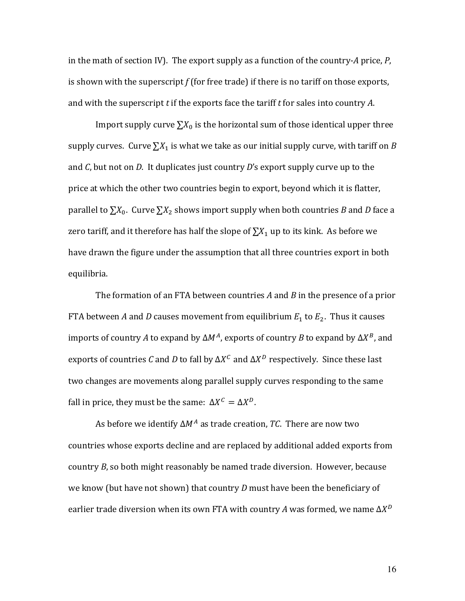in the math of section IV). The export supply as a function of the country-A price,  $P$ , is shown with the superscript  $f$  (for free trade) if there is no tariff on those exports, and with the superscript *t* if the exports face the tariff *t* for sales into country *A*.

Import supply curve  $\sum X_0$  is the horizontal sum of those identical upper three supply curves. Curve  $\sum X_1$  is what we take as our initial supply curve, with tariff on *B* and  $C$ , but not on  $D$ . It duplicates just country  $D'$ s export supply curve up to the price at which the other two countries begin to export, beyond which it is flatter, parallel to  $\sum X_0$ . Curve  $\sum X_2$  shows import supply when both countries *B* and *D* face a zero tariff, and it therefore has half the slope of  $\sum X_1$  up to its kink. As before we have drawn the figure under the assumption that all three countries export in both equilibria.

The formation of an FTA between countries A and B in the presence of a prior FTA between *A* and *D* causes movement from equilibrium  $E_1$  to  $E_2$ . Thus it causes imports of country *A* to expand by  $\Delta M^A$ , exports of country *B* to expand by  $\Delta X^B$ , and exports of countries *C* and *D* to fall by  $\Delta X^C$  and  $\Delta X^D$  respectively. Since these last two changes are movements along parallel supply curves responding to the same fall in price, they must be the same:  $\Delta X^C = \Delta X^D$ .

As before we identify  $\Delta M^A$  as trade creation, *TC*. There are now two countries whose exports decline and are replaced by additional added exports from country *B*, so both might reasonably be named trade diversion. However, because we know (but have not shown) that country  $D$  must have been the beneficiary of earlier trade diversion when its own FTA with country *A* was formed, we name  $\Delta X^D$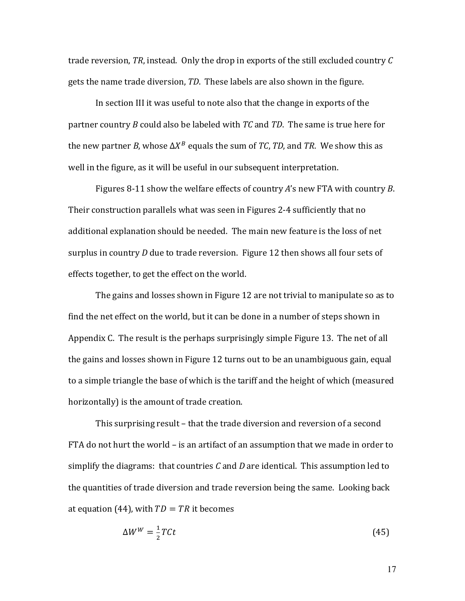trade reversion,  $TR$ , instead. Only the drop in exports of the still excluded country  $C$ gets the name trade diversion, *TD*. These labels are also shown in the figure.

In section III it was useful to note also that the change in exports of the partner country *B* could also be labeled with *TC* and *TD*. The same is true here for the new partner *B*, whose  $\Delta X^B$  equals the sum of *TC*, *TD*, and *TR*. We show this as well in the figure, as it will be useful in our subsequent interpretation.

Figures 8-11 show the welfare effects of country A's new FTA with country B. Their construction parallels what was seen in Figures 2-4 sufficiently that no additional explanation should be needed. The main new feature is the loss of net surplus in country *D* due to trade reversion. Figure 12 then shows all four sets of effects together, to get the effect on the world.

The gains and losses shown in Figure 12 are not trivial to manipulate so as to find the net effect on the world, but it can be done in a number of steps shown in Appendix C. The result is the perhaps surprisingly simple Figure 13. The net of all the gains and losses shown in Figure 12 turns out to be an unambiguous gain, equal to a simple triangle the base of which is the tariff and the height of which (measured horizontally) is the amount of trade creation.

This surprising result – that the trade diversion and reversion of a second FTA do not hurt the world  $-$  is an artifact of an assumption that we made in order to simplify the diagrams: that countries  $C$  and  $D$  are identical. This assumption led to the quantities of trade diversion and trade reversion being the same. Looking back at equation (44), with  $TD = TR$  it becomes

$$
\Delta W^W = \frac{1}{2} T C t \tag{45}
$$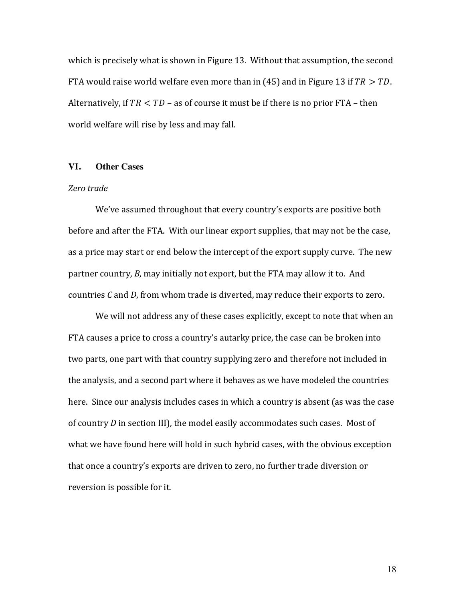which is precisely what is shown in Figure 13. Without that assumption, the second FTA would raise world welfare even more than in (45) and in Figure 13 if  $TR > TD$ . Alternatively, if  $TR < TD$  – as of course it must be if there is no prior  $FTA$  – then world welfare will rise by less and may fall.

#### **VI. Other Cases**

#### *Zero trade*

We've assumed throughout that every country's exports are positive both before and after the FTA. With our linear export supplies, that may not be the case, as a price may start or end below the intercept of the export supply curve. The new partner country, *B*, may initially not export, but the FTA may allow it to. And countries *C* and *D*, from whom trade is diverted, may reduce their exports to zero.

We will not address any of these cases explicitly, except to note that when an FTA causes a price to cross a country's autarky price, the case can be broken into two parts, one part with that country supplying zero and therefore not included in the analysis, and a second part where it behaves as we have modeled the countries here. Since our analysis includes cases in which a country is absent (as was the case of country *D* in section III), the model easily accommodates such cases. Most of what we have found here will hold in such hybrid cases, with the obvious exception that once a country's exports are driven to zero, no further trade diversion or reversion is possible for it.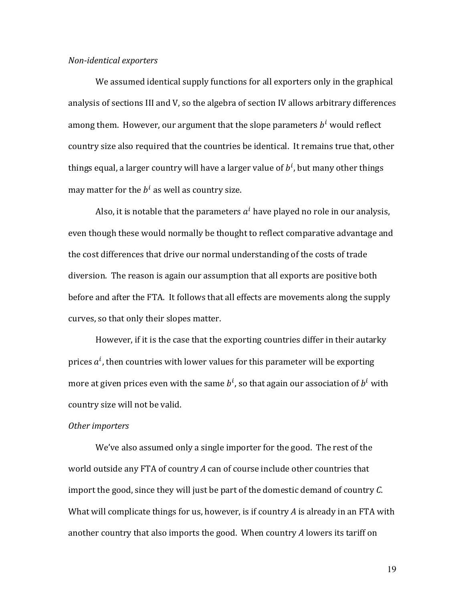#### *Non-identical exporters*

We assumed identical supply functions for all exporters only in the graphical analysis of sections III and V, so the algebra of section IV allows arbitrary differences among them. However, our argument that the slope parameters  $b^i$  would reflect country size also required that the countries be identical. It remains true that, other things equal, a larger country will have a larger value of  $b^i$ , but many other things may matter for the  $b^i$  as well as country size.

Also, it is notable that the parameters  $a^i$  have played no role in our analysis, even though these would normally be thought to reflect comparative advantage and the cost differences that drive our normal understanding of the costs of trade diversion. The reason is again our assumption that all exports are positive both before and after the FTA. It follows that all effects are movements along the supply curves, so that only their slopes matter.

However, if it is the case that the exporting countries differ in their autarky prices  $a^i$ , then countries with lower values for this parameter will be exporting more at given prices even with the same  $b^i$ , so that again our association of  $b^i$  with country size will not be valid.

#### **Other** importers

We've also assumed only a single importer for the good. The rest of the world outside any FTA of country A can of course include other countries that import the good, since they will just be part of the domestic demand of country C. What will complicate things for us, however, is if country A is already in an FTA with another country that also imports the good. When country A lowers its tariff on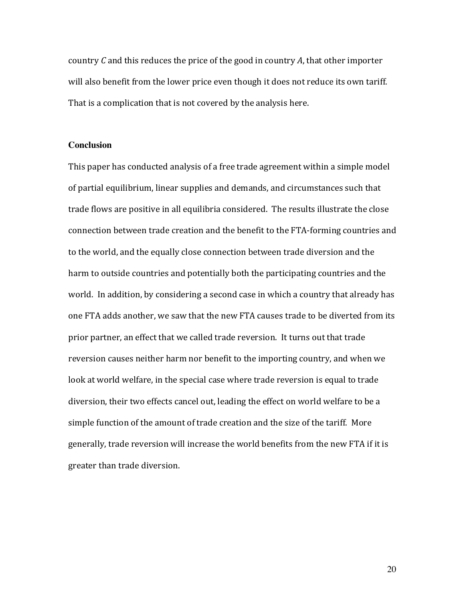country *C* and this reduces the price of the good in country *A*, that other importer will also benefit from the lower price even though it does not reduce its own tariff. That is a complication that is not covered by the analysis here.

#### **Conclusion**

This paper has conducted analysis of a free trade agreement within a simple model of partial equilibrium, linear supplies and demands, and circumstances such that trade flows are positive in all equilibria considered. The results illustrate the close connection between trade creation and the benefit to the FTA-forming countries and to the world, and the equally close connection between trade diversion and the harm to outside countries and potentially both the participating countries and the world. In addition, by considering a second case in which a country that already has one FTA adds another, we saw that the new FTA causes trade to be diverted from its prior partner, an effect that we called trade reversion. It turns out that trade reversion causes neither harm nor benefit to the importing country, and when we look at world welfare, in the special case where trade reversion is equal to trade diversion, their two effects cancel out, leading the effect on world welfare to be a simple function of the amount of trade creation and the size of the tariff. More generally, trade reversion will increase the world benefits from the new FTA if it is greater than trade diversion.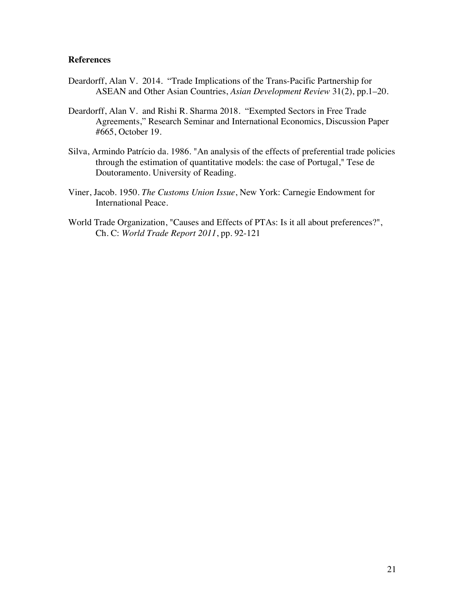#### **References**

- Deardorff, Alan V. 2014. "Trade Implications of the Trans-Pacific Partnership for ASEAN and Other Asian Countries, *Asian Development Review* 31(2), pp.1–20.
- Deardorff, Alan V. and Rishi R. Sharma 2018. "Exempted Sectors in Free Trade Agreements," Research Seminar and International Economics, Discussion Paper #665, October 19.
- Silva, Armindo Patrício da. 1986. "An analysis of the effects of preferential trade policies through the estimation of quantitative models: the case of Portugal," Tese de Doutoramento. University of Reading.
- Viner, Jacob. 1950. *The Customs Union Issue*, New York: Carnegie Endowment for International Peace.
- World Trade Organization, "Causes and Effects of PTAs: Is it all about preferences?", Ch. C: *World Trade Report 2011*, pp. 92-121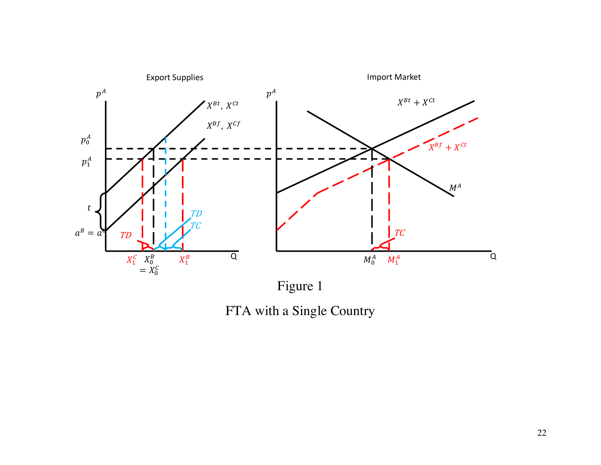

FTA with a Single Country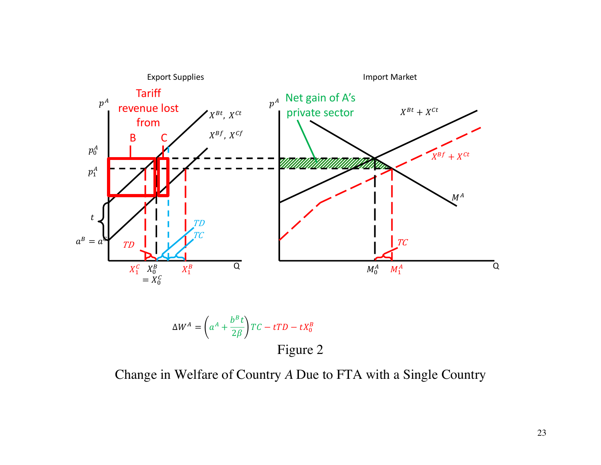

$$
\Delta W^A = \left( a^A + \frac{b^B t}{2\beta} \right) TC - tTD - tX_0^B
$$
  
Figure 2

Change in Welfare of Country *A* Due to FTA with a Single Country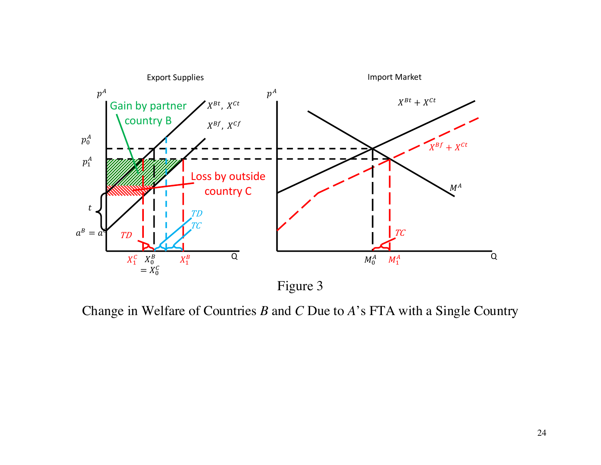

Change in Welfare of Countries *B* and *C* Due to *A*'s FTA with a Single Country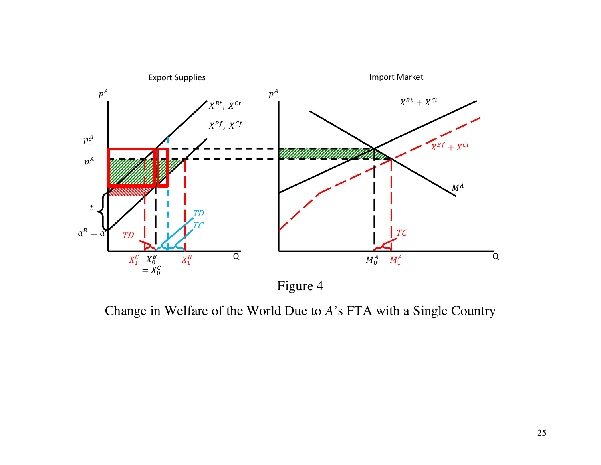

Change in Welfare of the World Due to *A*'s FTA with a Single Country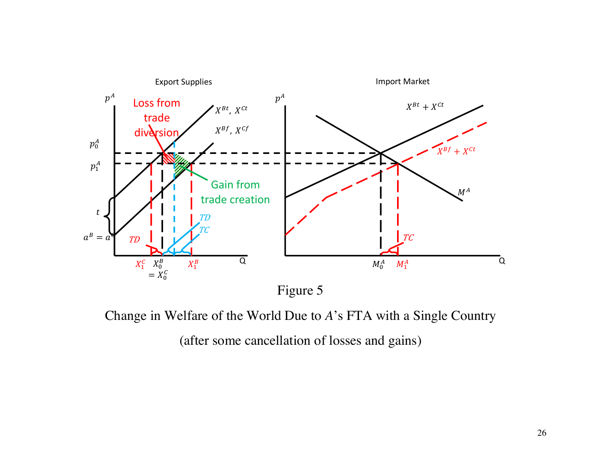

Change in Welfare of the World Due to *A*'s FTA with a Single Country

(after some cancellation of losses and gains)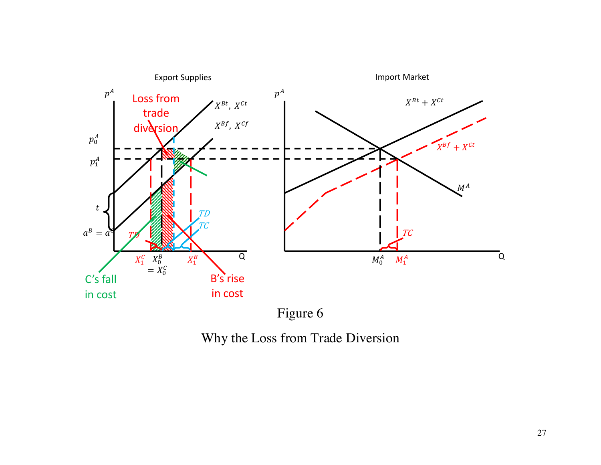

Figure 6

Why the Loss from Trade Diversion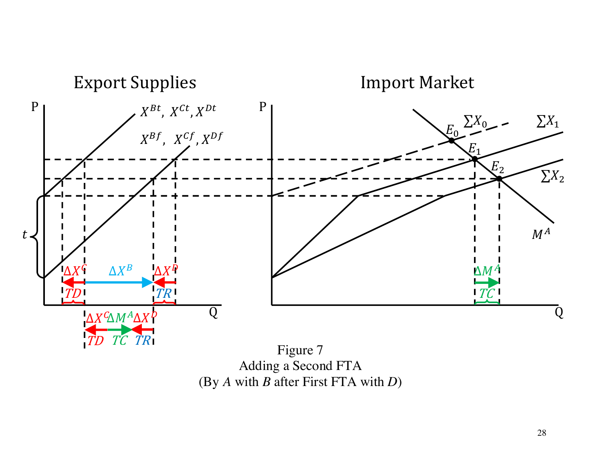

Adding a Second FTA (By *A* with *B* after First FTA with *D*)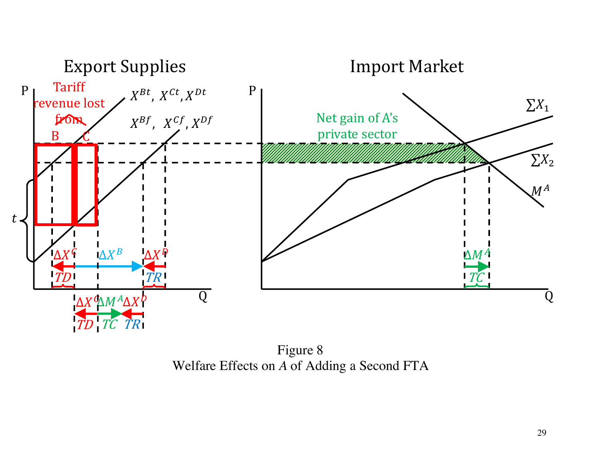

Figure 8 Welfare Effects on *A* of Adding a Second FTA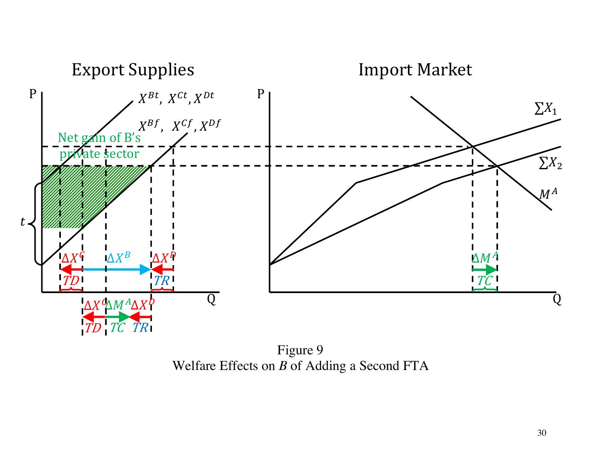

Figure 9 Welfare Effects on *B* of Adding a Second FTA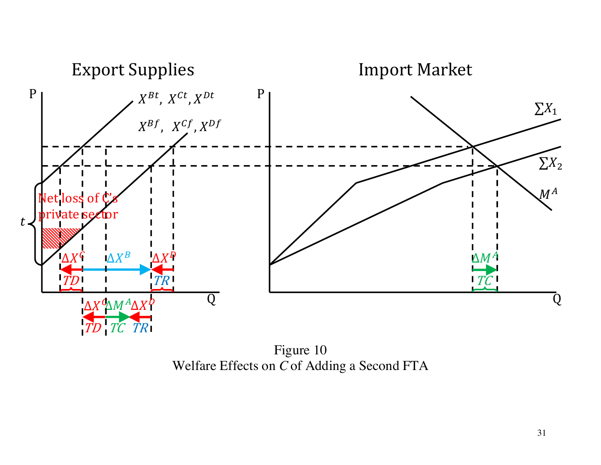

Figure 10 Welfare Effects on C of Adding a Second FTA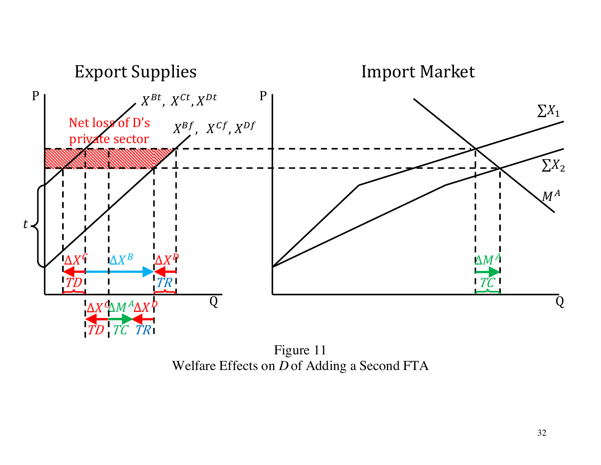

Figure 11 Welfare Effects on D of Adding a Second FTA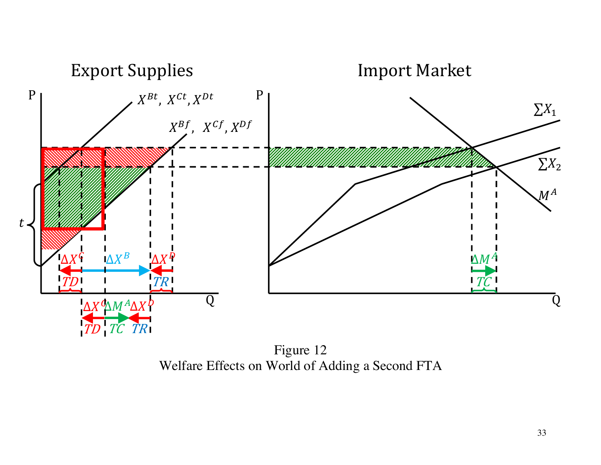

Figure 12 Welfare Effects on World of Adding a Second FTA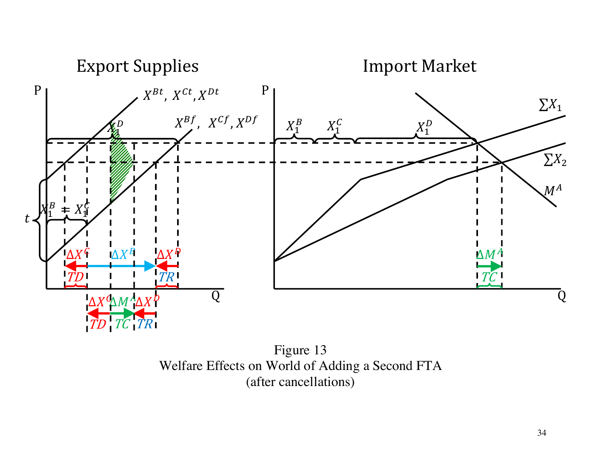

Figure 13 Welfare Effects on World of Adding a Second FTA (after cancellations)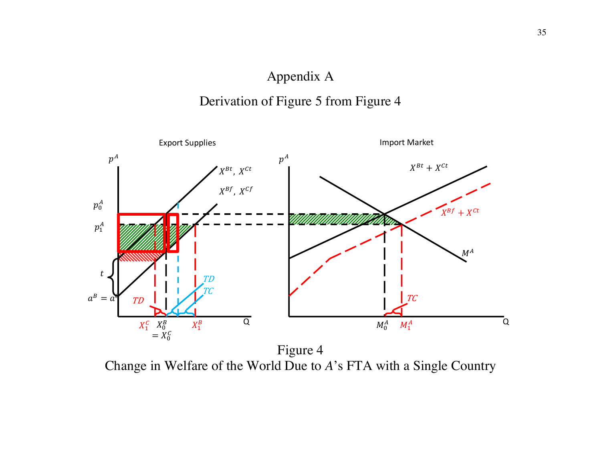## Appendix A

# Derivation of Figure 5 from Figure 4



Change in Welfare of the World Due to *A*'s FTA with a Single Country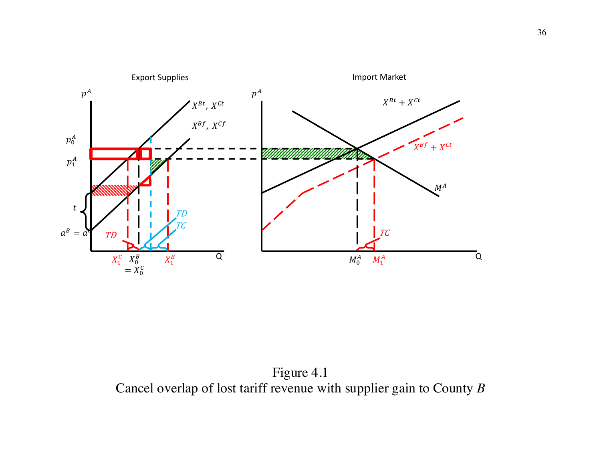

Figure 4.1 Cancel overlap of lost tariff revenue with supplier gain to County *B*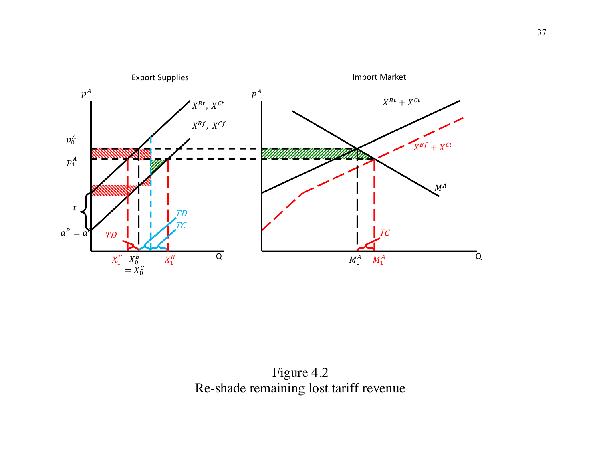

Figure 4.2 Re-shade remaining lost tariff revenue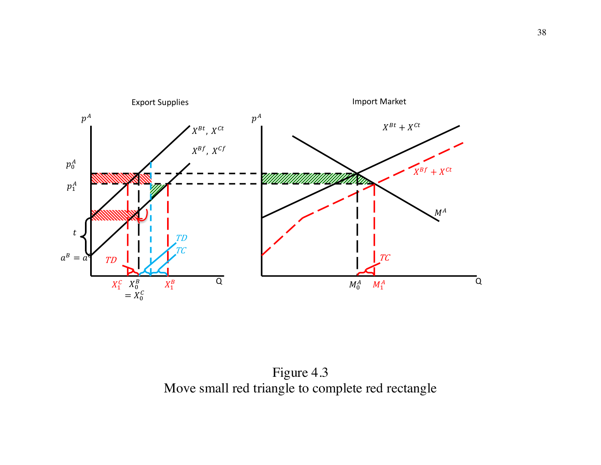

Figure 4.3 Move small red triangle to complete red rectangle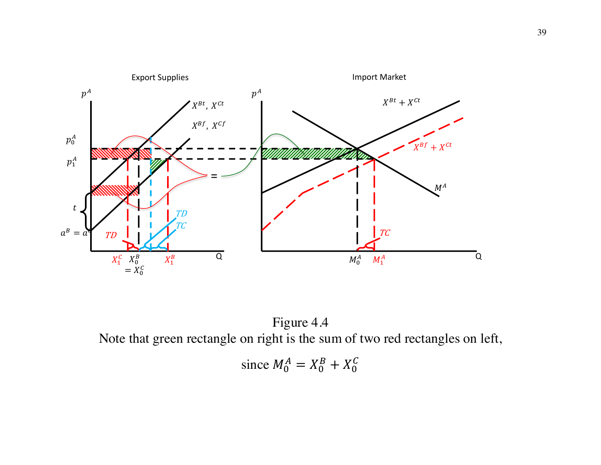

Figure 4.4 Note that green rectangle on right is the sum of two red rectangles on left,

since 
$$
M_0^A = X_0^B + X_0^C
$$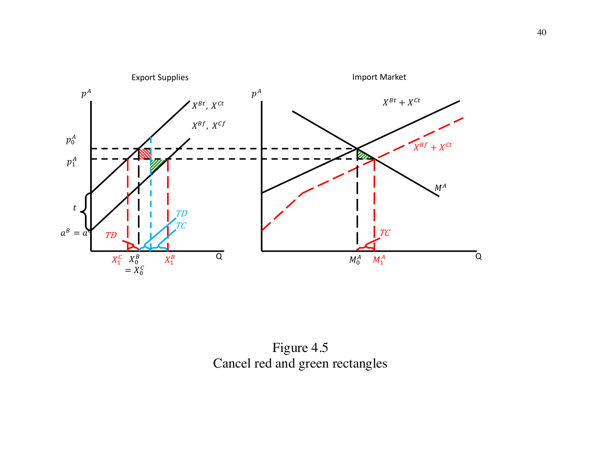

Figure 4.5 Cancel red and green rectangles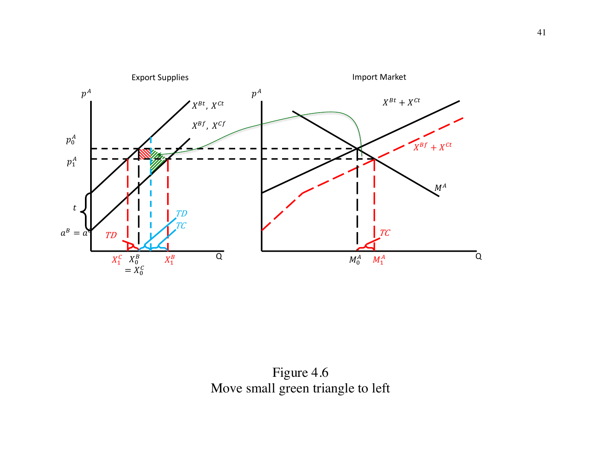

Figure 4.6 Move small green triangle to left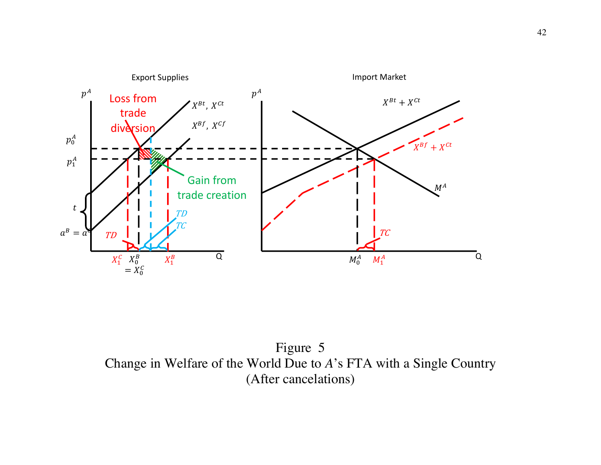

Figure 5 Change in Welfare of the World Due to *A*'s FTA with a Single Country (After cancelations)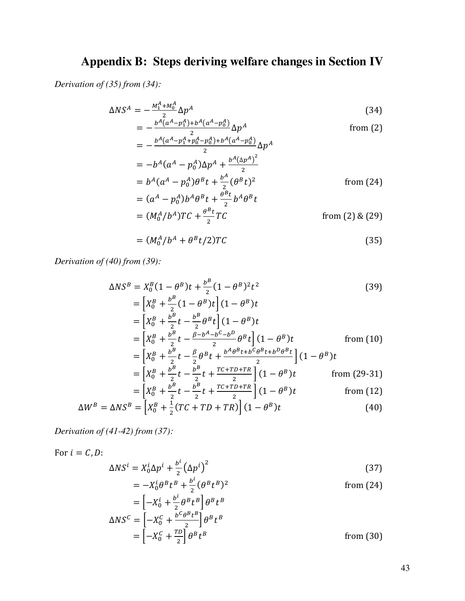## **Appendix B: Steps deriving welfare changes in Section IV**

*Derivation of (35) from (34):*

$$
\Delta NS^A = -\frac{M_1^A + M_0^A}{2} \Delta p^A
$$
\n
$$
= -\frac{b^A(a^A - p_1^A) + b^A(a^A - p_0^A)}{2} \Delta p^A
$$
\n(34)

\nfrom (2)

$$
= -\frac{b^{A}(a^{A} - p_{1}^{A} + p_{0}^{A} - p_{0}^{A}) + b^{A}(a^{A} - p_{0}^{A})}{2} \Delta p^{A}
$$
  
=  $-b^{A}(a^{A} - p_{0}^{A})\Delta p^{A} + \frac{b^{A}(\Delta p^{A})^{2}}{2}$   
=  $b^{A}(a^{A} - p_{0}^{A})\theta^{B}t + \frac{b^{A}}{2}(\theta^{B}t)^{2}$  from (24)

$$
= (aA - p0A)bAθBt + \frac{\thetaBt}{2}bAθBt
$$
  
= (M<sub>0</sub><sup>A</sup>/b<sup>A</sup>)TC +  $\frac{\thetaBt}{2}$ TC  
from (2) & (29)

$$
= (M_0^A / b^A + \theta^B t / 2) T C \tag{35}
$$

*Derivation of (40) from (39):*

$$
\Delta NS^B = X_0^B (1 - \theta^B) t + \frac{b^B}{2} (1 - \theta^B)^2 t^2
$$
\n
$$
= \left[ X_0^B + \frac{b^B}{2} (1 - \theta^B) t \right] (1 - \theta^B) t
$$
\n
$$
= \left[ X_0^B + \frac{b^B}{2} t - \frac{b^B}{2} \theta^B t \right] (1 - \theta^B) t
$$
\n
$$
= \left[ X_0^B + \frac{b^B}{2} t - \frac{\beta - b^A - b^C - b^D}{2} \theta^B t \right] (1 - \theta^B) t
$$
\nfrom (10)\n
$$
= \left[ X_0^B + \frac{b^B}{2} t - \frac{\beta}{2} \theta^B t + \frac{b^A \theta^B t + b^C \theta^B t + b^D \theta^B t}{2} \right] (1 - \theta^B) t
$$
\n
$$
= \left[ X_0^B + \frac{b^B}{2} t - \frac{b^B}{2} t + \frac{TC + TD + TR}{2} \right] (1 - \theta^B) t
$$
\nfrom (29-31)\n
$$
= \left[ X_0^B + \frac{b^B}{2} t - \frac{b^B}{2} t + \frac{TC + TD + TR}{2} \right] (1 - \theta^B) t
$$
\nfrom (12)

$$
\Delta W^{B} = \Delta NS^{B} = \left[ X_{0}^{B} + \frac{1}{2} (TC + TD + TR) \right] (1 - \theta^{B}) t
$$
 (40)

*Derivation of (41-42) from (37):*

For 
$$
i = C, D
$$
:  
\n
$$
\Delta NS^i = X_0^i \Delta p^i + \frac{b^i}{2} (\Delta p^i)^2
$$
\n(37)

$$
= -X_0^i \theta^B t^B + \frac{b^i}{2} (\theta^B t^B)^2
$$
from (24)  

$$
= \left[ -X_0^i + \frac{b^i}{2} \theta^B t^B \right] \theta^B t^B
$$
  

$$
\Delta NS^C = \left[ -X_0^C + \frac{b^C \theta^B t^B}{2} \right] \theta^B t^B
$$
  

$$
= \left[ -X_0^C + \frac{\tau D}{2} \right] \theta^B t^B
$$
from (30)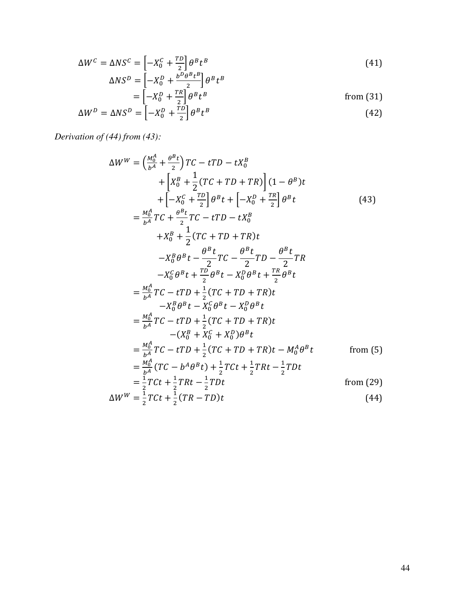$$
\Delta W^C = \Delta NS^C = \left[ -X_0^C + \frac{TD}{2} \right] \theta^B t^B
$$
  
\n
$$
\Delta NS^D = \left[ -X_0^D + \frac{b^D \theta^B t^B}{2} \right] \theta^B t^B
$$
\n(41)

$$
\Delta NS^D = \left[ -X_0^D + \frac{b^2 \theta^2 t^2}{2} \right] \theta^B t^B
$$
  
= 
$$
\left[ -X_0^D + \frac{TR}{2} \right] \theta^B t^B
$$
from (31)  

$$
\Delta W^D = \Delta NS^D = \left[ -X_0^D + \frac{TD}{2} \right] \theta^B t^B
$$
 (42)

*Derivation of (44) from (43):*

$$
\Delta W^{W} = \left(\frac{M_{0}^{A}}{b^{A}} + \frac{\theta^{B}t}{2}\right)TC - tTD - tX_{0}^{B}
$$
  
+  $\left[X_{0}^{B} + \frac{1}{2}(TC + TD + TR)\right](1 - \theta^{B})t$   
+  $\left[-X_{0}^{C} + \frac{TD}{2}\right]\theta^{B}t + \left[-X_{0}^{D} + \frac{TR}{2}\right]\theta^{B}t$   
=  $\frac{M_{0}^{A}}{b^{A}}TC + \frac{\theta^{B}t}{2}TC - tTD - tX_{0}^{B}$   
+  $X_{0}^{B} + \frac{1}{2}(TC + TD + TR)t$   
-  $X_{0}^{B}\theta^{B}t - \frac{\theta^{B}t}{2}TC - \frac{\theta^{B}t}{2}TD - \frac{\theta^{B}t}{2}TR$   
=  $\frac{X_{0}^{C}}{b^{A}}\theta^{B}t + \frac{TD}{2}\theta^{B}t - X_{0}^{D}\theta^{B}t + \frac{TR}{2}\theta^{B}t$   
=  $\frac{M_{0}^{A}}{b^{A}}TC - tTD + \frac{1}{2}(TC + TD + TR)t$   
-  $X_{0}^{B}\theta^{B}t - X_{0}^{C}\theta^{B}t$   
=  $\frac{M_{0}^{A}}{b^{A}}TC - tTD + \frac{1}{2}(TC + TD + TR)t$   
-  $(X_{0}^{B} + X_{0}^{C} + X_{0}^{D})\theta^{B}t$   
=  $\frac{M_{0}^{A}}{b^{A}}TC - tTD + \frac{1}{2}(TC + TD + TR)t - M_{0}^{A}\theta^{B}t$  from (5)  
=  $\frac{M_{0}^{A}}{b^{A}}(TC - b^{A}\theta^{B}t) + \frac{1}{2}TCt + \frac{1}{2}TRt - \frac{1}{2}TDt$   
=  $\frac{1}{2}TCt + \frac{1}{2}TRt - \frac{1}{2}TDt$  from (29)  
 $\Delta W^{W} = \frac{1}{2}TCt + \frac{1}{2}(TR - TD)t$  (44)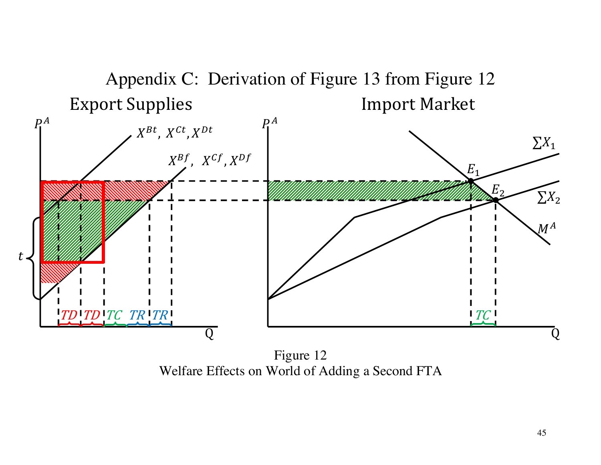

Figure 12 Welfare Effects on World of Adding a Second FTA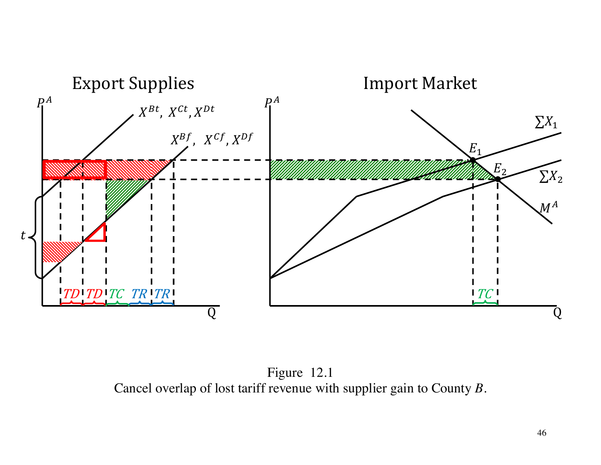

Figure 12.1 Cancel overlap of lost tariff revenue with supplier gain to County  $B$ .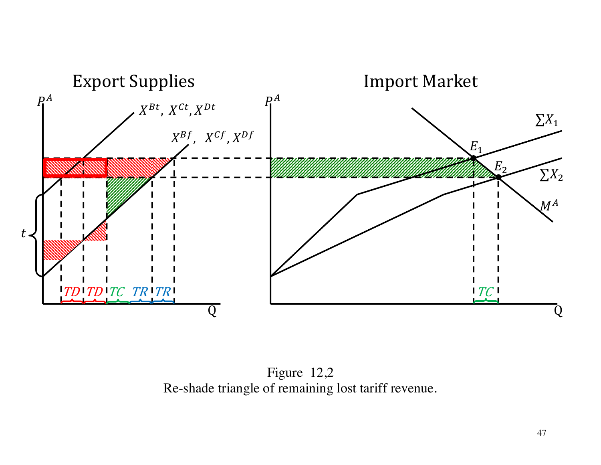

Figure 12,2 Re-shade triangle of remaining lost tariff revenue.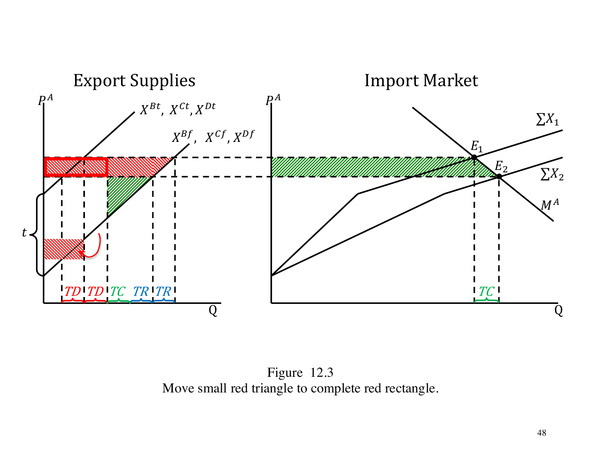

Figure 12.3 Move small red triangle to complete red rectangle.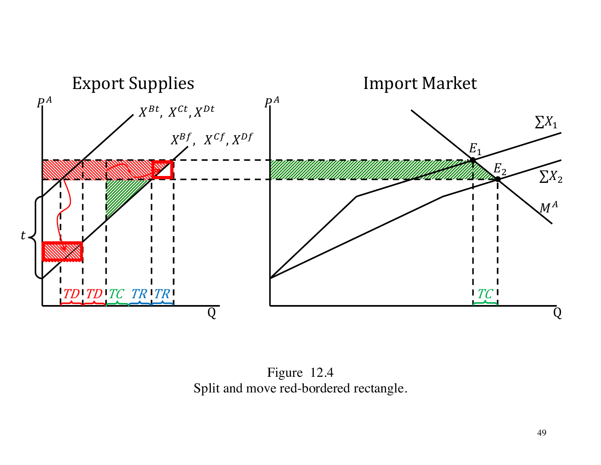

Figure 12.4 Split and move red-bordered rectangle.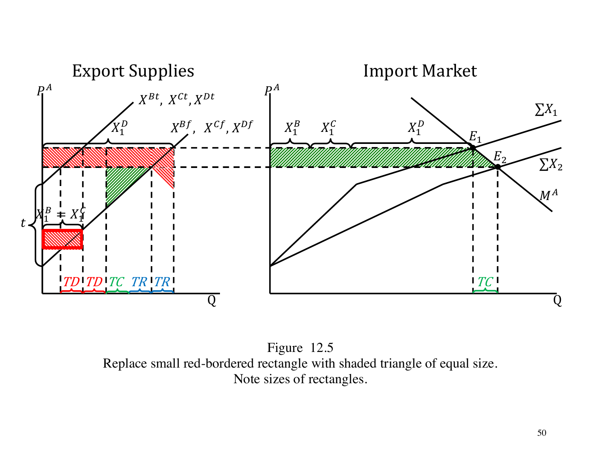

Figure 12.5 Replace small red-bordered rectangle with shaded triangle of equal size. Note sizes of rectangles.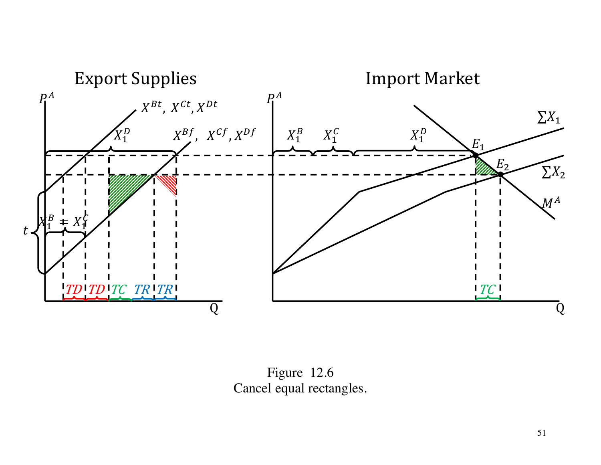

Figure 12.6 Cancel equal rectangles.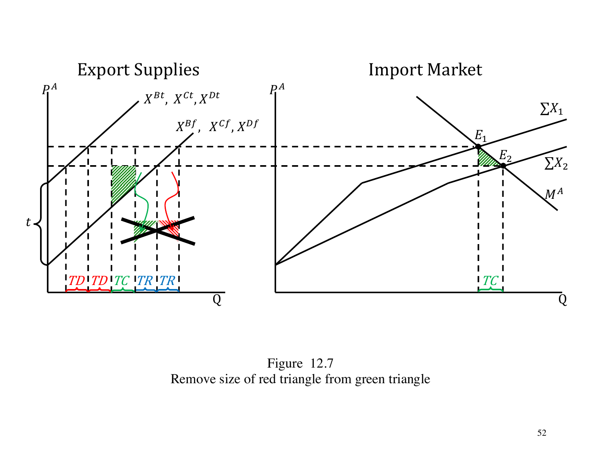

Figure 12.7 Remove size of red triangle from green triangle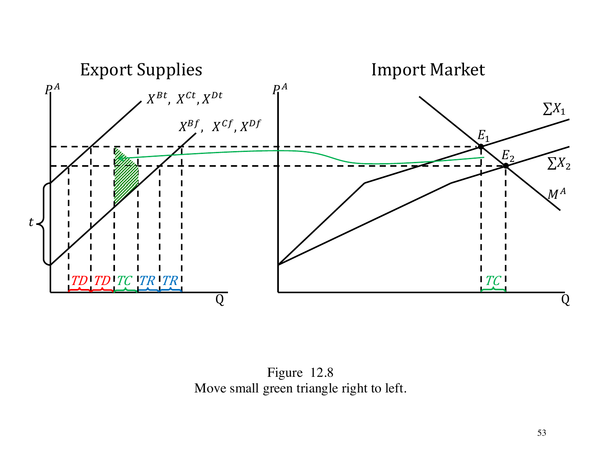

Figure 12.8 Move small green triangle right to left.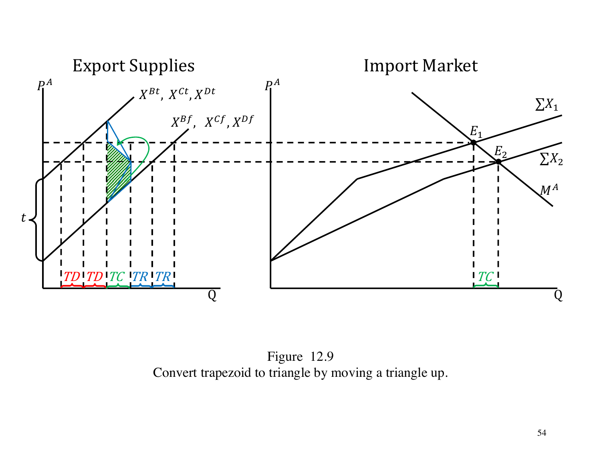

Figure 12.9 Convert trapezoid to triangle by moving a triangle up.